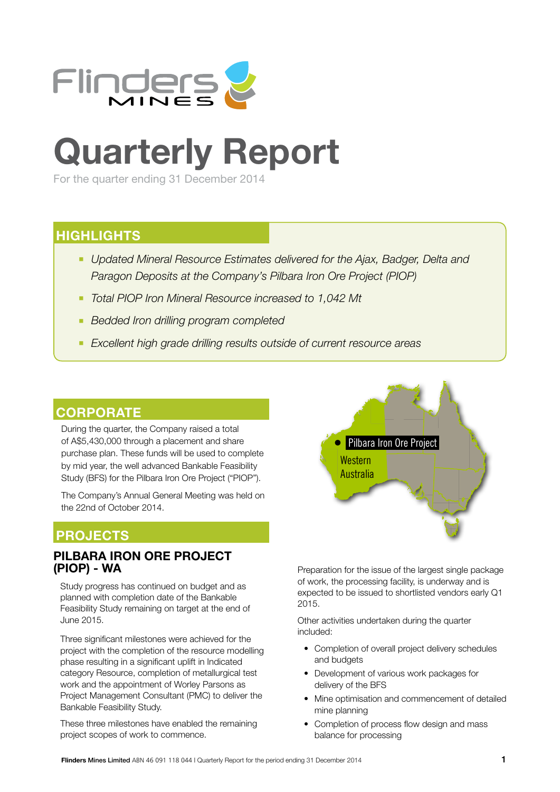

# **Quarterly Report**

For the quarter ending 31 December 2014

## **HIGHLIGHTS**

- **Updated Mineral Resource Estimates delivered for the Ajax, Badger, Delta and** *Paragon Deposits at the Company's Pilbara Iron Ore Project (PIOP)*
- *Total PIOP Iron Mineral Resource increased to 1,042 Mt*
- *Bedded Iron drilling program completed*
- *Excellent high grade drilling results outside of current resource areas*

## **CORPORATE**

During the quarter, the Company raised a total of A\$5,430,000 through a placement and share purchase plan. These funds will be used to complete by mid year, the well advanced Bankable Feasibility Study (BFS) for the Pilbara Iron Ore Project ("PIOP").

The Company's Annual General Meeting was held on the 22nd of October 2014.

## **PROJECTS**

## **PILBARA IRON ORE PROJECT (PIOP) - WA**

Study progress has continued on budget and as planned with completion date of the Bankable Feasibility Study remaining on target at the end of June 2015.

Three significant milestones were achieved for the project with the completion of the resource modelling phase resulting in a significant uplift in Indicated category Resource, completion of metallurgical test work and the appointment of Worley Parsons as Project Management Consultant (PMC) to deliver the Bankable Feasibility Study.

These three milestones have enabled the remaining project scopes of work to commence.



Preparation for the issue of the largest single package of work, the processing facility, is underway and is expected to be issued to shortlisted vendors early Q1 2015.

Other activities undertaken during the quarter included:

- Completion of overall project delivery schedules and budgets
- Development of various work packages for delivery of the BFS
- Mine optimisation and commencement of detailed mine planning
- Completion of process flow design and mass balance for processing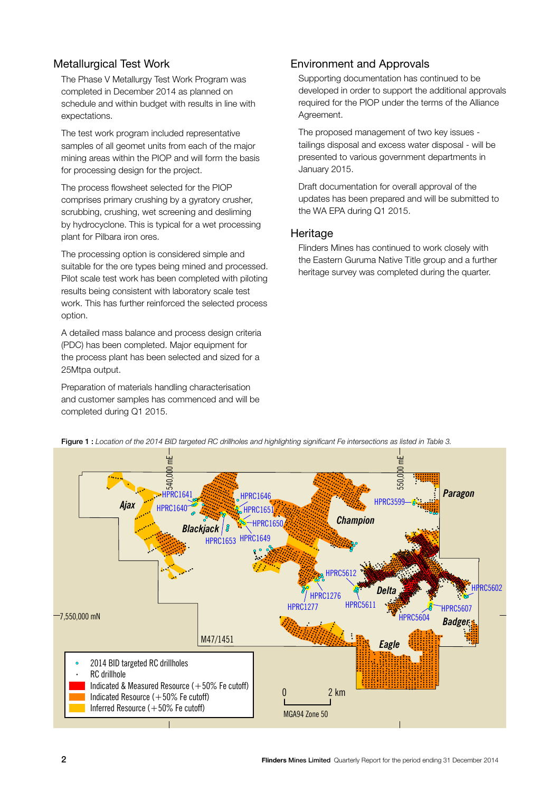## Metallurgical Test Work

The Phase V Metallurgy Test Work Program was completed in December 2014 as planned on schedule and within budget with results in line with expectations.

The test work program included representative samples of all geomet units from each of the major mining areas within the PIOP and will form the basis for processing design for the project.

The process flowsheet selected for the PIOP comprises primary crushing by a gyratory crusher, scrubbing, crushing, wet screening and desliming by hydrocyclone. This is typical for a wet processing plant for Pilbara iron ores.

The processing option is considered simple and suitable for the ore types being mined and processed. Pilot scale test work has been completed with piloting results being consistent with laboratory scale test work. This has further reinforced the selected process option.

A detailed mass balance and process design criteria (PDC) has been completed. Major equipment for the process plant has been selected and sized for a 25Mtpa output.

Preparation of materials handling characterisation and customer samples has commenced and will be completed during Q1 2015.

## Environment and Approvals

Supporting documentation has continued to be developed in order to support the additional approvals required for the PIOP under the terms of the Alliance Agreement.

The proposed management of two key issues tailings disposal and excess water disposal - will be presented to various government departments in January 2015.

Draft documentation for overall approval of the updates has been prepared and will be submitted to the WA EPA during Q1 2015.

## **Heritage**

Flinders Mines has continued to work closely with the Eastern Guruma Native Title group and a further heritage survey was completed during the quarter.

![](_page_1_Figure_13.jpeg)

Figure 1 : *Location of the 2014 BID targeted RC drillholes and highlighting significant Fe intersections as listed in Table 3.*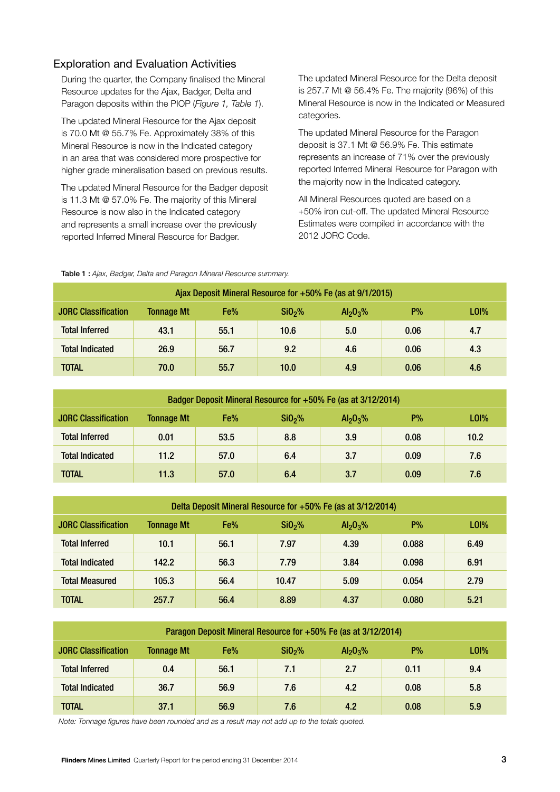## Exploration and Evaluation Activities

During the quarter, the Company finalised the Mineral Resource updates for the Ajax, Badger, Delta and Paragon deposits within the PIOP (*Figure 1, Table 1*).

The updated Mineral Resource for the Ajax deposit is 70.0 Mt @ 55.7% Fe. Approximately 38% of this Mineral Resource is now in the Indicated category in an area that was considered more prospective for higher grade mineralisation based on previous results.

The updated Mineral Resource for the Badger deposit is 11.3 Mt @ 57.0% Fe. The majority of this Mineral Resource is now also in the Indicated category and represents a small increase over the previously reported Inferred Mineral Resource for Badger.

The updated Mineral Resource for the Delta deposit is 257.7 Mt @ 56.4% Fe. The majority (96%) of this Mineral Resource is now in the Indicated or Measured categories.

The updated Mineral Resource for the Paragon deposit is 37.1 Mt @ 56.9% Fe. This estimate represents an increase of 71% over the previously reported Inferred Mineral Resource for Paragon with the majority now in the Indicated category.

All Mineral Resources quoted are based on a +50% iron cut-off. The updated Mineral Resource Estimates were compiled in accordance with the 2012 JORC Code.

Table 1 : *Ajax, Badger, Delta and Paragon Mineral Resource summary.*

| Ajax Deposit Mineral Resource for +50% Fe (as at 9/1/2015)                                                                                  |      |      |      |     |      |     |  |  |  |
|---------------------------------------------------------------------------------------------------------------------------------------------|------|------|------|-----|------|-----|--|--|--|
| $P\%$<br>L <sub>0</sub><br>Fe%<br><b>JORC Classification</b><br><b>Tonnage Mt</b><br>SiO <sub>2</sub> %<br>Al <sub>2</sub> O <sub>3</sub> % |      |      |      |     |      |     |  |  |  |
| <b>Total Inferred</b>                                                                                                                       | 43.1 | 55.1 | 10.6 | 5.0 | 0.06 | 4.7 |  |  |  |
| <b>Total Indicated</b>                                                                                                                      | 26.9 | 56.7 | 9.2  | 4.6 | 0.06 | 4.3 |  |  |  |
| <b>TOTAL</b>                                                                                                                                | 70.0 | 55.7 | 10.0 | 4.9 | 0.06 | 4.6 |  |  |  |

| Badger Deposit Mineral Resource for +50% Fe (as at 3/12/2014)                                                                                |      |      |     |     |      |      |  |  |
|----------------------------------------------------------------------------------------------------------------------------------------------|------|------|-----|-----|------|------|--|--|
| $P\%$<br>Fe%<br>L0 <sub>0</sub><br><b>JORC Classification</b><br><b>Tonnage Mt</b><br>SiO <sub>2</sub> %<br>Al <sub>2</sub> O <sub>3</sub> % |      |      |     |     |      |      |  |  |
| <b>Total Inferred</b>                                                                                                                        | 0.01 | 53.5 | 8.8 | 3.9 | 0.08 | 10.2 |  |  |
| <b>Total Indicated</b>                                                                                                                       | 11.2 | 57.0 | 6.4 | 3.7 | 0.09 | 7.6  |  |  |
| TOTAL                                                                                                                                        | 11.3 | 57.0 | 6.4 | 3.7 | 0.09 | 7.6  |  |  |

| Delta Deposit Mineral Resource for +50% Fe (as at 3/12/2014) |                   |      |                    |                                  |       |                |  |
|--------------------------------------------------------------|-------------------|------|--------------------|----------------------------------|-------|----------------|--|
| <b>JORC Classification</b>                                   | <b>Tonnage Mt</b> | Fe%  | SiO <sub>2</sub> % | Al <sub>2</sub> O <sub>3</sub> % | $P\%$ | L <sub>0</sub> |  |
| <b>Total Inferred</b>                                        | 10.1              | 56.1 | 7.97               | 4.39                             | 0.088 | 6.49           |  |
| <b>Total Indicated</b>                                       | 142.2             | 56.3 | 7.79               | 3.84                             | 0.098 | 6.91           |  |
| <b>Total Measured</b>                                        | 105.3             | 56.4 | 10.47              | 5.09                             | 0.054 | 2.79           |  |
| TOTAL                                                        | 257.7             | 56.4 | 8.89               | 4.37                             | 0.080 | 5.21           |  |

| Paragon Deposit Mineral Resource for +50% Fe (as at 3/12/2014)                                                                            |      |      |     |     |      |     |  |  |  |
|-------------------------------------------------------------------------------------------------------------------------------------------|------|------|-----|-----|------|-----|--|--|--|
| P%<br>L0 <sub>0</sub><br><b>JORC Classification</b><br>Fe%<br>SiO <sub>2</sub> %<br><b>Tonnage Mt</b><br>Al <sub>2</sub> O <sub>3</sub> % |      |      |     |     |      |     |  |  |  |
| <b>Total Inferred</b>                                                                                                                     | 0.4  | 56.1 | 7.1 | 2.7 | 0.11 | 9.4 |  |  |  |
| <b>Total Indicated</b>                                                                                                                    | 36.7 | 56.9 | 7.6 | 4.2 | 0.08 | 5.8 |  |  |  |
| <b>TOTAL</b>                                                                                                                              | 37.1 | 56.9 | 7.6 | 4.2 | 0.08 | 5.9 |  |  |  |

*Note: Tonnage figures have been rounded and as a result may not add up to the totals quoted.*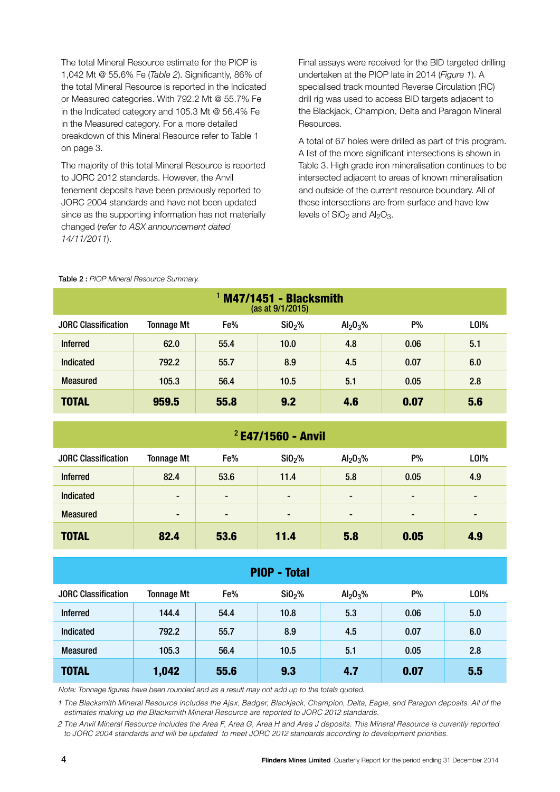The total Mineral Resource estimate for the PIOP is 1,042 Mt @ 55.6% Fe (*Table 2*). Significantly, 86% of the total Mineral Resource is reported in the Indicated or Measured categories. With 792.2 Mt @ 55.7% Fe in the Indicated category and 105.3 Mt @ 56.4% Fe in the Measured category. For a more detailed breakdown of this Mineral Resource refer to Table 1 on page 3.

The majority of this total Mineral Resource is reported to JORC 2012 standards. However, the Anvil tenement deposits have been previously reported to JORC 2004 standards and have not been updated since as the supporting information has not materially changed (*refer to ASX announcement dated 14/11/2011*).

Final assays were received for the BID targeted drilling undertaken at the PIOP late in 2014 (*Figure 1*). A specialised track mounted Reverse Circulation (RC) drill rig was used to access BID targets adjacent to the Blackjack, Champion, Delta and Paragon Mineral Resources.

A total of 67 holes were drilled as part of this program. A list of the more significant intersections is shown in Table 3. High grade iron mineralisation continues to be intersected adjacent to areas of known mineralisation and outside of the current resource boundary. All of these intersections are from surface and have low levels of  $SiO<sub>2</sub>$  and  $Al<sub>2</sub>O<sub>3</sub>$ .

| M47/1451 - Blacksmith<br>(as at 9/1/2015) |                   |      |                    |                                  |      |                  |
|-------------------------------------------|-------------------|------|--------------------|----------------------------------|------|------------------|
| <b>JORC Classification</b>                | <b>Tonnage Mt</b> | Fe%  | SiO <sub>2</sub> % | Al <sub>2</sub> O <sub>3</sub> % | P%   | LO <sub>1%</sub> |
| <b>Inferred</b>                           | 62.0              | 55.4 | 10.0               | 4.8                              | 0.06 | 5.1              |
| Indicated                                 | 792.2             | 55.7 | 8.9                | 4.5                              | 0.07 | 6.0              |
| <b>Measured</b>                           | 105.3             | 56.4 | 10.5               | 5.1                              | 0.05 | 2.8              |
| <b>TOTAL</b>                              | 959.5             | 55.8 | 9.2                | 4.6                              | 0.07 | 5.6              |

#### Table 2 : *PIOP Mineral Resource Summary.*

### $2$  E47/1560 - Anvil

| <b>JORC Classification</b> | <b>Tonnage Mt</b> | Fe%  | SiO <sub>2</sub> % | Al <sub>2</sub> O <sub>3</sub> % | P%             | LOI%           |
|----------------------------|-------------------|------|--------------------|----------------------------------|----------------|----------------|
| <b>Inferred</b>            | 82.4              | 53.6 | 11.4               | 5.8                              | 0.05           | 4.9            |
| <b>Indicated</b>           | $\blacksquare$    | ٠    | $\blacksquare$     | $\blacksquare$                   | $\blacksquare$ | $\blacksquare$ |
| <b>Measured</b>            | $\blacksquare$    | ٠    | $\blacksquare$     | $\blacksquare$                   | $\blacksquare$ | $\blacksquare$ |
| <b>TOTAL</b>               | 82.4              | 53.6 | 11.4               | 5.8                              | 0.05           | 4.9            |

### PIOP - Total

| <b>TOTAL</b>               | 1,042             | 55.6 | 9.3                | 4.7                              | 0.07 | 5.5  |
|----------------------------|-------------------|------|--------------------|----------------------------------|------|------|
| <b>Measured</b>            | 105.3             | 56.4 | 10.5               | 5.1                              | 0.05 | 2.8  |
| Indicated                  | 792.2             | 55.7 | 8.9                | 4.5                              | 0.07 | 6.0  |
| <b>Inferred</b>            | 144.4             | 54.4 | 10.8               | 5.3                              | 0.06 | 5.0  |
| <b>JORC Classification</b> | <b>Tonnage Mt</b> | Fe%  | SiO <sub>2</sub> % | Al <sub>2</sub> O <sub>3</sub> % | P%   | LOI% |
|                            |                   |      |                    |                                  |      |      |

*Note: Tonnage figures have been rounded and as a result may not add up to the totals quoted.*

1 The Blacksmith Mineral Resource includes the Ajax, Badger, Blackjack, Champion, Delta, Eagle, and Paragon deposits. All of the estimates making up the Blacksmith Mineral Resource are reported to JORC 2012 standards.

2 The Anvil Mineral Resource includes the Area F, Area G, Area H and Area J deposits. This Mineral Resource is currently reported to JORC 2004 standards and will be updated to meet JORC 2012 standards according to development priorities.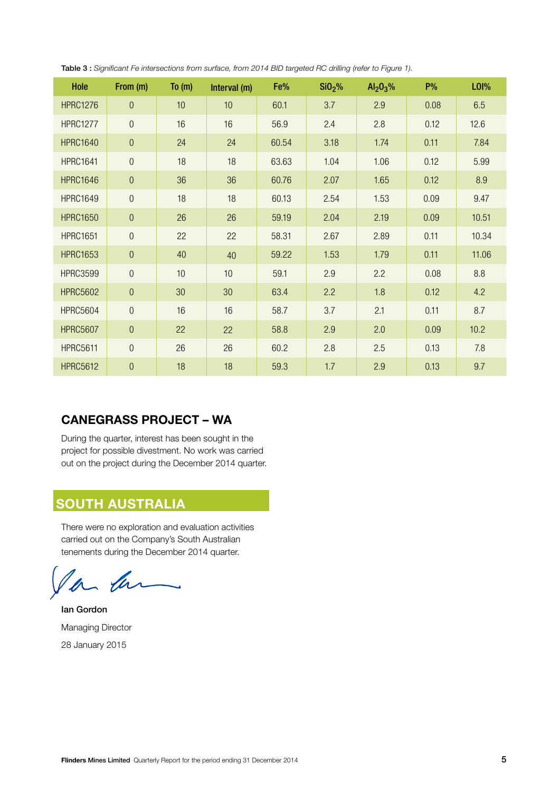| Hole            | From (m)         | To $(m)$ | Interval (m) | Fe%   | SiO <sub>2</sub> % | $Al_2O_3%$ | <b>P%</b> | <b>LOI%</b> |
|-----------------|------------------|----------|--------------|-------|--------------------|------------|-----------|-------------|
| <b>HPRC1276</b> | $\mathbf{0}$     | 10       | 10           | 60.1  | 3.7                | 2.9        | 0.08      | 6.5         |
| <b>HPRC1277</b> | $\boldsymbol{0}$ | 16       | 16           | 56.9  | 2.4                | 2.8        | 0.12      | 12.6        |
| <b>HPRC1640</b> | $\theta$         | 24       | 24           | 60.54 | 3.18               | 1.74       | 0.11      | 7.84        |
| <b>HPRC1641</b> | $\boldsymbol{0}$ | 18       | 18           | 63.63 | 1.04               | 1.06       | 0.12      | 5.99        |
| <b>HPRC1646</b> | $\mathbf{0}$     | 36       | 36           | 60.76 | 2.07               | 1.65       | 0.12      | 8.9         |
| <b>HPRC1649</b> | $\boldsymbol{0}$ | 18       | 18           | 60.13 | 2.54               | 1.53       | 0.09      | 9.47        |
| <b>HPRC1650</b> | $\boldsymbol{0}$ | 26       | 26           | 59.19 | 2.04               | 2.19       | 0.09      | 10.51       |
| <b>HPRC1651</b> | $\boldsymbol{0}$ | 22       | 22           | 58.31 | 2.67               | 2.89       | 0.11      | 10.34       |
| <b>HPRC1653</b> | $\theta$         | 40       | 40           | 59.22 | 1.53               | 1.79       | 0.11      | 11.06       |
| <b>HPRC3599</b> | $\boldsymbol{0}$ | 10       | 10           | 59.1  | 2.9                | 2.2        | 0.08      | 8.8         |
| <b>HPRC5602</b> | $\overline{0}$   | 30       | 30           | 63.4  | 2.2                | 1.8        | 0.12      | 4.2         |
| <b>HPRC5604</b> | $\boldsymbol{0}$ | 16       | 16           | 58.7  | 3.7                | 2.1        | 0.11      | 8.7         |
| <b>HPRC5607</b> | $\boldsymbol{0}$ | 22       | 22           | 58.8  | 2.9                | 2.0        | 0.09      | 10.2        |
| <b>HPRC5611</b> | $\overline{0}$   | 26       | 26           | 60.2  | 2.8                | 2.5        | 0.13      | 7.8         |
| <b>HPRC5612</b> | $\boldsymbol{0}$ | 18       | 18           | 59.3  | 1.7                | 2.9        | 0.13      | 9.7         |

Table 3 : *Significant Fe intersections from surface, from 2014 BID targeted RC drilling (refer to Figure 1).*

## **CANEGRASS PROJECT – WA**

During the quarter, interest has been sought in the project for possible divestment. No work was carried out on the project during the December 2014 quarter.

## **SOUTH AUSTRALIA**

There were no exploration and evaluation activities carried out on the Company's South Australian tenements during the December 2014 quarter.

an  $\mathscr{U}$ 

Ian Gordon Managing Director 28 January 2015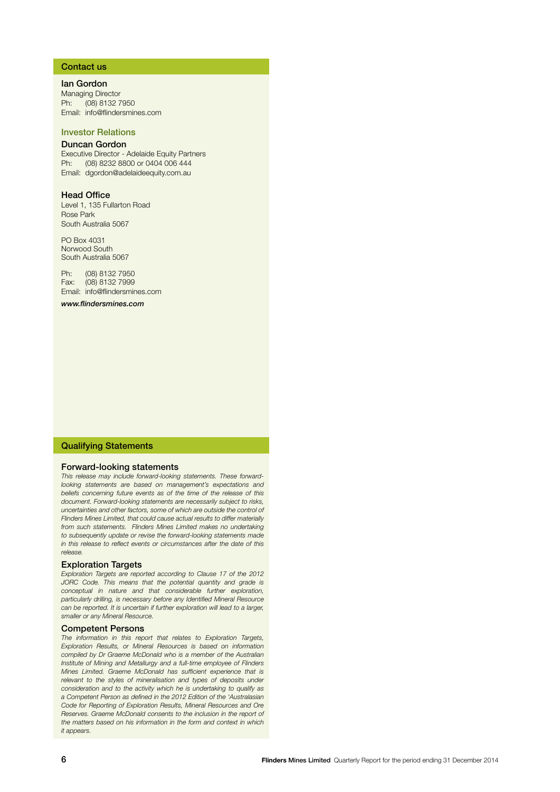#### Contact us

Ian Gordon Managing Director Ph: (08) 8132 7950 Email: info@flindersmines.com

#### Investor Relations

#### Duncan Gordon

Executive Director - Adelaide Equity Partners Ph: (08) 8232 8800 or 0404 006 444 Email: dgordon@adelaideequity.com.au

#### Head Office

Level 1, 135 Fullarton Road Rose Park South Australia 5067

PO Box 4031 Norwood South South Australia 5067

Ph: (08) 8132 7950 Fax: (08) 8132 7999 Email: info@flindersmines.com

*www.flindersmines.com*

#### Qualifying Statements

#### Forward-looking statements

*This release may include forward-looking statements. These forwardlooking statements are based on management's expectations and beliefs concerning future events as of the time of the release of this document. Forward-looking statements are necessarily subject to risks, uncertainties and other factors, some of which are outside the control of Flinders Mines Limited, that could cause actual results to differ materially from such statements. Flinders Mines Limited makes no undertaking to subsequently update or revise the forward-looking statements made in this release to reflect events or circumstances after the date of this release.*

#### **Exploration Targets**

*Exploration Targets are reported according to Clause 17 of the 2012 JORC Code. This means that the potential quantity and grade is conceptual in nature and that considerable further exploration, particularly drilling, is necessary before any Identified Mineral Resource can be reported. It is uncertain if further exploration will lead to a larger, smaller or any Mineral Resource.*

#### Competent Persons

*The information in this report that relates to Exploration Targets, Exploration Results, or Mineral Resources is based on information compiled by Dr Graeme McDonald who is a member of the Australian Institute of Mining and Metallurgy and a full-time employee of Flinders Mines Limited. Graeme McDonald has sufficient experience that is relevant to the styles of mineralisation and types of deposits under consideration and to the activity which he is undertaking to qualify as a Competent Person as defined in the 2012 Edition of the 'Australasian Code for Reporting of Exploration Results, Mineral Resources and Ore Reserves. Graeme McDonald consents to the inclusion in the report of the matters based on his information in the form and context in which it appears.*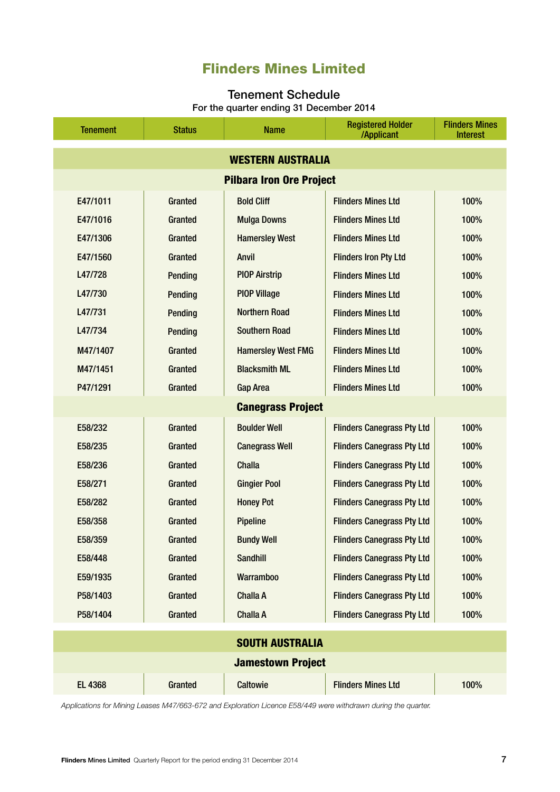## Flinders Mines Limited

## Tenement Schedule

For the quarter ending 31 December 2014

| <b>Tenement</b>                 | <b>Status</b>            | <b>Name</b>               | <b>Registered Holder</b><br>/Applicant | <b>Flinders Mines</b><br><b>Interest</b> |  |  |  |  |  |
|---------------------------------|--------------------------|---------------------------|----------------------------------------|------------------------------------------|--|--|--|--|--|
| <b>WESTERN AUSTRALIA</b>        |                          |                           |                                        |                                          |  |  |  |  |  |
| <b>Pilbara Iron Ore Project</b> |                          |                           |                                        |                                          |  |  |  |  |  |
| E47/1011                        | Granted                  | <b>Bold Cliff</b>         | <b>Flinders Mines Ltd</b>              | 100%                                     |  |  |  |  |  |
| E47/1016                        | Granted                  | <b>Mulga Downs</b>        | <b>Flinders Mines Ltd</b>              | 100%                                     |  |  |  |  |  |
| E47/1306                        | Granted                  | <b>Hamersley West</b>     | <b>Flinders Mines Ltd</b>              | 100%                                     |  |  |  |  |  |
| E47/1560                        | Granted                  | <b>Anvil</b>              | <b>Flinders Iron Pty Ltd</b>           | 100%                                     |  |  |  |  |  |
| L47/728                         | <b>Pending</b>           | <b>PIOP Airstrip</b>      | <b>Flinders Mines Ltd</b>              | 100%                                     |  |  |  |  |  |
| L47/730                         | Pending                  | <b>PIOP Village</b>       | <b>Flinders Mines Ltd</b>              | 100%                                     |  |  |  |  |  |
| L47/731                         | <b>Pending</b>           | <b>Northern Road</b>      | <b>Flinders Mines Ltd</b>              | 100%                                     |  |  |  |  |  |
| L47/734                         | <b>Pending</b>           | <b>Southern Road</b>      | <b>Flinders Mines Ltd</b>              | 100%                                     |  |  |  |  |  |
| M47/1407                        | Granted                  | <b>Hamersley West FMG</b> | <b>Flinders Mines Ltd</b>              | 100%                                     |  |  |  |  |  |
| M47/1451                        | Granted                  | <b>Blacksmith ML</b>      | <b>Flinders Mines Ltd</b>              | 100%                                     |  |  |  |  |  |
| P47/1291                        | Granted                  | <b>Gap Area</b>           | <b>Flinders Mines Ltd</b>              | 100%                                     |  |  |  |  |  |
|                                 | <b>Canegrass Project</b> |                           |                                        |                                          |  |  |  |  |  |
| E58/232                         | Granted                  | <b>Boulder Well</b>       | <b>Flinders Canegrass Pty Ltd</b>      | 100%                                     |  |  |  |  |  |
| E58/235                         | Granted                  | <b>Canegrass Well</b>     | <b>Flinders Canegrass Pty Ltd</b>      | 100%                                     |  |  |  |  |  |
| E58/236                         | Granted                  | <b>Challa</b>             | <b>Flinders Canegrass Pty Ltd</b>      | 100%                                     |  |  |  |  |  |
| E58/271                         | Granted                  | <b>Gingier Pool</b>       | <b>Flinders Canegrass Pty Ltd</b>      | 100%                                     |  |  |  |  |  |
| E58/282                         | Granted                  | <b>Honey Pot</b>          | <b>Flinders Canegrass Pty Ltd</b>      | 100%                                     |  |  |  |  |  |
| E58/358                         | Granted                  | <b>Pipeline</b>           | <b>Flinders Canegrass Pty Ltd</b>      | 100%                                     |  |  |  |  |  |
| E58/359                         | Granted                  | <b>Bundy Well</b>         | <b>Flinders Canegrass Pty Ltd</b>      | 100%                                     |  |  |  |  |  |
| E58/448                         | Granted                  | <b>Sandhill</b>           | <b>Flinders Canegrass Pty Ltd</b>      | 100%                                     |  |  |  |  |  |
| E59/1935                        | Granted                  | <b>Warramboo</b>          | <b>Flinders Canegrass Pty Ltd</b>      | 100%                                     |  |  |  |  |  |
| P58/1403                        | Granted                  | <b>Challa A</b>           | <b>Flinders Canegrass Pty Ltd</b>      | 100%                                     |  |  |  |  |  |
| P58/1404                        | Granted                  | <b>Challa A</b>           | <b>Flinders Canegrass Pty Ltd</b>      | 100%                                     |  |  |  |  |  |
|                                 |                          | <b>SOUTH AUSTRALIA</b>    |                                        |                                          |  |  |  |  |  |
|                                 |                          | <b>Jamestown Project</b>  |                                        |                                          |  |  |  |  |  |
| <b>EL 4368</b>                  | Granted                  | <b>Caltowie</b>           | <b>Flinders Mines Ltd</b>              | 100%                                     |  |  |  |  |  |

*Applications for Mining Leases M47/663-672 and Exploration Licence E58/449 were withdrawn during the quarter.*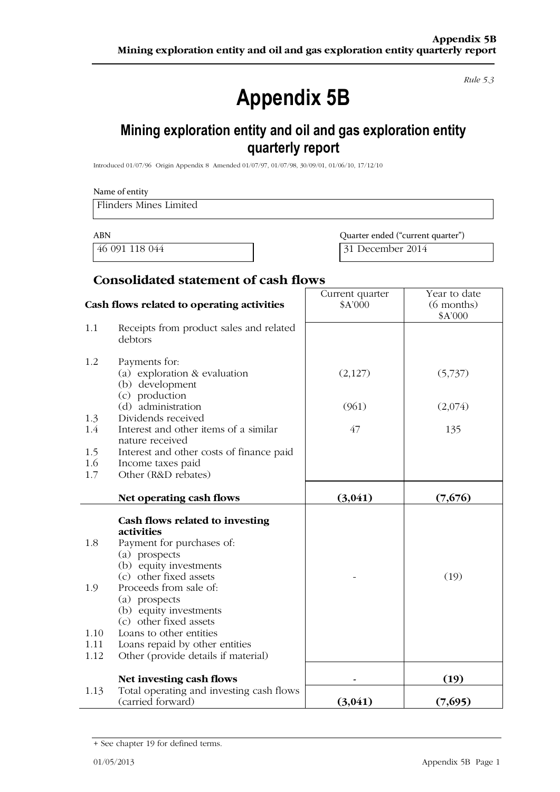Rule 5.3

# **Appendix 5B**

## Mining exploration entity and oil and gas exploration entity quarterly report

Introduced 01/07/96 Origin Appendix 8 Amended 01/07/97, 01/07/98, 30/09/01, 01/06/10, 17/12/10

## Name of entity **Flinders Mines Limited**

**ABN** 

46 091 118 044

Quarter ended ("current quarter") 31 December 2014

## **Consolidated statement of cash flows**

|                                    | Cash flows related to operating activities                                                                                                                                                                                                                                                                                                         | Current quarter<br>\$A'000 | Year to date<br>$(6$ months) |
|------------------------------------|----------------------------------------------------------------------------------------------------------------------------------------------------------------------------------------------------------------------------------------------------------------------------------------------------------------------------------------------------|----------------------------|------------------------------|
| 1.1                                | Receipts from product sales and related<br>debtors                                                                                                                                                                                                                                                                                                 |                            | \$A'000                      |
| 1.2                                | Payments for:<br>(a) exploration & evaluation<br>(b) development<br>(c) production                                                                                                                                                                                                                                                                 | (2,127)                    | (5,737)                      |
|                                    | (d) administration                                                                                                                                                                                                                                                                                                                                 | (961)                      | (2,074)                      |
| 1.3<br>1.4                         | Dividends received<br>Interest and other items of a similar<br>nature received                                                                                                                                                                                                                                                                     | 47                         | 135                          |
| 1.5                                | Interest and other costs of finance paid                                                                                                                                                                                                                                                                                                           |                            |                              |
| 1.6<br>1.7                         | Income taxes paid<br>Other (R&D rebates)                                                                                                                                                                                                                                                                                                           |                            |                              |
|                                    | Net operating cash flows                                                                                                                                                                                                                                                                                                                           | (3,041)                    | (7,676)                      |
| 1.8<br>1.9<br>1.10<br>1.11<br>1.12 | Cash flows related to investing<br>activities<br>Payment for purchases of:<br>(a) prospects<br>(b) equity investments<br>(c) other fixed assets<br>Proceeds from sale of:<br>(a) prospects<br>(b) equity investments<br>(c) other fixed assets<br>Loans to other entities<br>Loans repaid by other entities<br>Other (provide details if material) |                            | (19)                         |
|                                    | Net investing cash flows                                                                                                                                                                                                                                                                                                                           |                            | (19)                         |
| 1.13                               | Total operating and investing cash flows<br>(carried forward)                                                                                                                                                                                                                                                                                      | (3,041)                    | (7,695)                      |

<sup>+</sup> See chapter 19 for defined terms.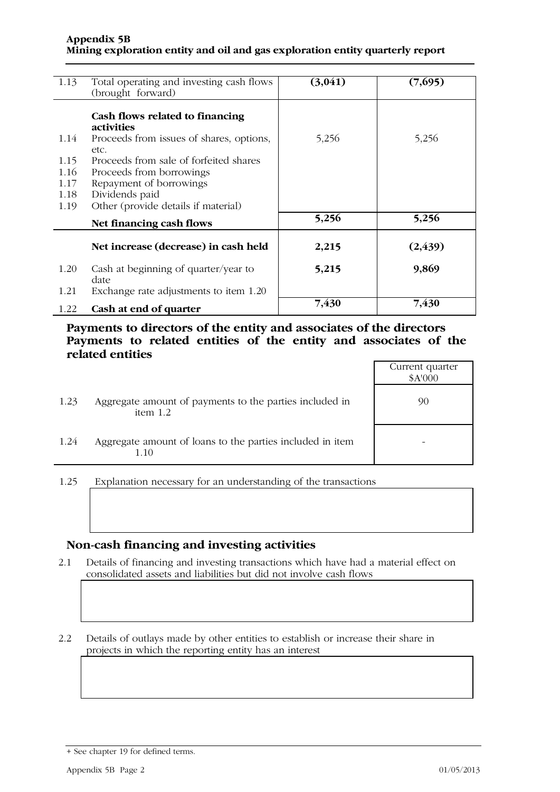| 1.13 | Total operating and investing cash flows | (3,041) | (7,695)  |
|------|------------------------------------------|---------|----------|
|      | (brought forward)                        |         |          |
|      |                                          |         |          |
|      |                                          |         |          |
|      | Cash flows related to financing          |         |          |
|      | <i>activities</i>                        |         |          |
| 1.14 | Proceeds from issues of shares, options, | 5,256   | 5,256    |
|      | etc.                                     |         |          |
| 1.15 | Proceeds from sale of forfeited shares   |         |          |
| 1.16 | Proceeds from borrowings                 |         |          |
| 1.17 | Repayment of borrowings                  |         |          |
| 1.18 | Dividends paid                           |         |          |
|      |                                          |         |          |
| 1.19 | Other (provide details if material)      |         |          |
|      | Net financing cash flows                 | 5,256   | 5,256    |
|      |                                          |         |          |
|      | Net increase (decrease) in cash held     | 2,215   | (2, 439) |
|      |                                          |         |          |
| 1.20 | Cash at beginning of quarter/year to     | 5,215   | 9,869    |
|      | date                                     |         |          |
|      |                                          |         |          |
| 1.21 | Exchange rate adjustments to item 1.20   |         |          |
| 1.22 | Cash at end of quarter                   | 7,430   | 7,430    |
|      |                                          |         |          |

Payments to directors of the entity and associates of the directors Payments to related entities of the entity and associates of the related entities

|      |                                                                       | Current quarter<br>\$A'000 |
|------|-----------------------------------------------------------------------|----------------------------|
| 1.23 | Aggregate amount of payments to the parties included in<br>item $1.2$ | 90                         |
| 1.24 | Aggregate amount of loans to the parties included in item<br>1.10     |                            |

Explanation necessary for an understanding of the transactions 1.25

## Non-cash financing and investing activities

Details of financing and investing transactions which have had a material effect on  $2.1$ consolidated assets and liabilities but did not involve cash flows

 $2.2$ Details of outlays made by other entities to establish or increase their share in projects in which the reporting entity has an interest

<sup>+</sup> See chapter 19 for defined terms.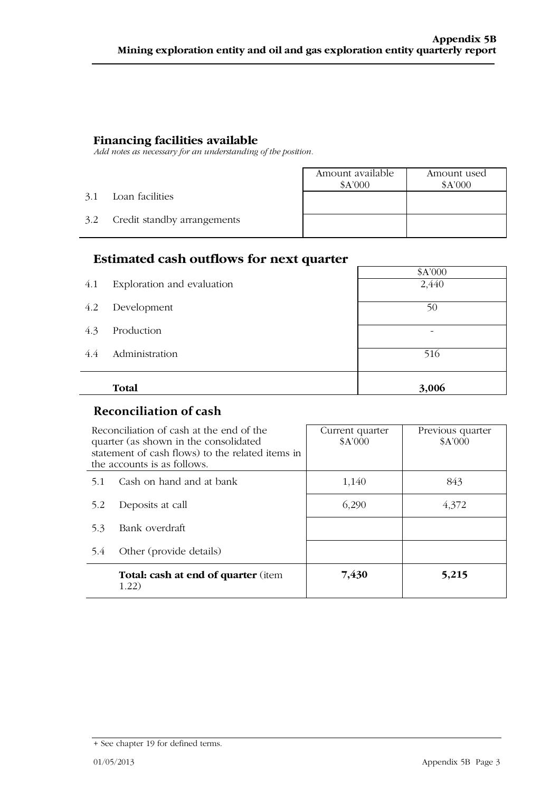**Financing facilities available**<br>Add notes as necessary for an understanding of the position.

|               |                             | Amount available<br>A'000 | Amount used<br>A'000 |
|---------------|-----------------------------|---------------------------|----------------------|
| 3.1           | Loan facilities             |                           |                      |
| $3.2^{\circ}$ | Credit standby arrangements |                           |                      |

## **Estimated cash outflows for next quarter**

|     | <b>Estimated cash outflows for next quarter</b> |         |  |  |  |
|-----|-------------------------------------------------|---------|--|--|--|
|     |                                                 | \$A'000 |  |  |  |
| 4.1 | Exploration and evaluation                      | 2,440   |  |  |  |
| 4.2 | Development                                     | 50      |  |  |  |
| 4.3 | Production                                      |         |  |  |  |
| 4.4 | Administration                                  | 516     |  |  |  |
|     | <b>Total</b>                                    | 3,006   |  |  |  |
|     |                                                 |         |  |  |  |

## **Reconciliation of cash**

| Reconciliation of cash at the end of the<br>quarter (as shown in the consolidated<br>statement of cash flows) to the related items in<br>the accounts is as follows. |                                                     | Current quarter<br>\$A'000 | Previous quarter<br>\$A'000 |
|----------------------------------------------------------------------------------------------------------------------------------------------------------------------|-----------------------------------------------------|----------------------------|-----------------------------|
| 5.1                                                                                                                                                                  | Cash on hand and at bank                            | 1,140                      | 843                         |
| 5.2                                                                                                                                                                  | Deposits at call                                    | 6,290                      | 4,372                       |
| 5.3                                                                                                                                                                  | Bank overdraft                                      |                            |                             |
| 5.4                                                                                                                                                                  | Other (provide details)                             |                            |                             |
|                                                                                                                                                                      | <b>Total: cash at end of quarter (item</b><br>1.22) | 7,430                      | 5,215                       |

<sup>+</sup> See chapter 19 for defined terms.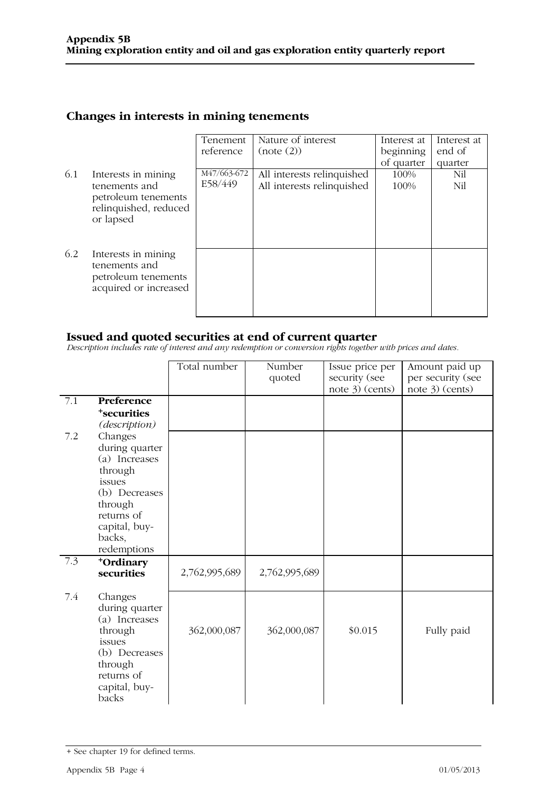## Changes in interests in mining tenements

|                                                                                      | Tenement  | Nature of interest         | Interest at | Interest at |
|--------------------------------------------------------------------------------------|-----------|----------------------------|-------------|-------------|
|                                                                                      | reference | (note (2))                 | beginning   | end of      |
|                                                                                      |           |                            | of quarter  | quarter     |
| Interests in mining                                                                  |           | All interests relinquished | 100%        | Nil         |
| tenements and                                                                        |           | All interests relinquished | 100%        | Nil         |
| petroleum tenements<br>relinquished, reduced                                         |           |                            |             |             |
|                                                                                      |           |                            |             |             |
|                                                                                      |           |                            |             |             |
| Interests in mining<br>tenements and<br>petroleum tenements<br>acquired or increased |           |                            |             |             |
|                                                                                      | or lapsed | M47/663-672<br>E58/449     |             |             |

**Issued and quoted securities at end of current quarter**<br>Description includes rate of interest and any redemption or conversion rights together with prices and dates.

|     |                                                                                                                                                     | Total number  | Number<br>quoted | Issue price per<br>security (see<br>note 3) (cents) | Amount paid up<br>per security (see<br>note 3) (cents) |
|-----|-----------------------------------------------------------------------------------------------------------------------------------------------------|---------------|------------------|-----------------------------------------------------|--------------------------------------------------------|
| 7.1 | Preference<br><sup>+</sup> securities<br>(description)                                                                                              |               |                  |                                                     |                                                        |
| 7.2 | Changes<br>during quarter<br>(a) Increases<br>through<br>issues<br>(b) Decreases<br>through<br>returns of<br>capital, buy-<br>backs,<br>redemptions |               |                  |                                                     |                                                        |
| 7.3 | +Ordinary<br>securities                                                                                                                             | 2,762,995,689 | 2,762,995,689    |                                                     |                                                        |
| 7.4 | Changes<br>during quarter<br>(a) Increases<br>through<br>issues<br>(b) Decreases<br>through<br>returns of<br>capital, buy-<br>backs                 | 362,000,087   | 362,000,087      | \$0.015                                             | Fully paid                                             |

<sup>+</sup> See chapter 19 for defined terms.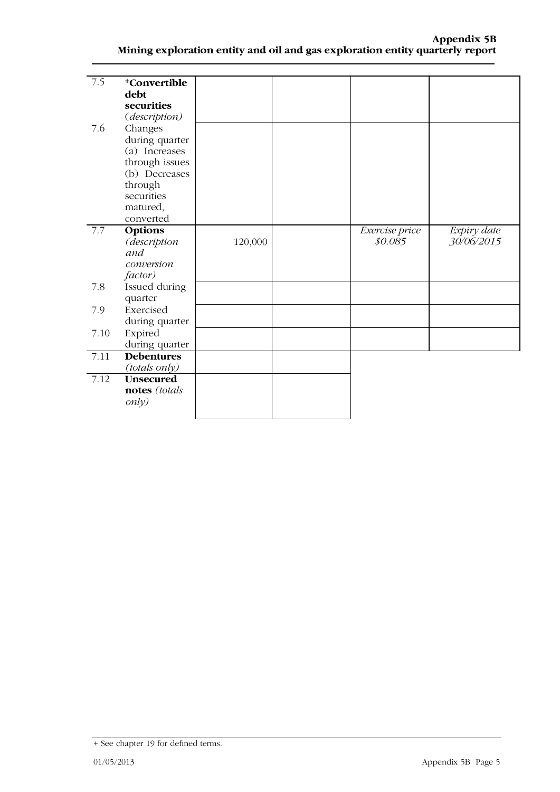| $\overline{7.5}$ | <sup>+</sup> Convertible |         |                |             |
|------------------|--------------------------|---------|----------------|-------------|
|                  | debt                     |         |                |             |
|                  | securities               |         |                |             |
|                  | (description)            |         |                |             |
| 7.6              | Changes                  |         |                |             |
|                  | during quarter           |         |                |             |
|                  | (a) Increases            |         |                |             |
|                  | through issues           |         |                |             |
|                  | (b) Decreases            |         |                |             |
|                  | through                  |         |                |             |
|                  | securities               |         |                |             |
|                  | matured,                 |         |                |             |
|                  | converted                |         |                |             |
| 7.7              | Options                  |         | Exercise price | Expiry date |
|                  | (description             | 120,000 | \$0.085        | 30/06/2015  |
|                  | and                      |         |                |             |
|                  | conversion               |         |                |             |
|                  | factor)                  |         |                |             |
| 7.8              | Issued during            |         |                |             |
|                  | quarter                  |         |                |             |
| 7.9              | Exercised                |         |                |             |
|                  | during quarter           |         |                |             |
| 7.10             | Expired                  |         |                |             |
|                  | during quarter           |         |                |             |
| 7.11             | <b>Debentures</b>        |         |                |             |
|                  | (totals only)            |         |                |             |
| 7.12             | <b>Unsecured</b>         |         |                |             |
|                  | notes (totals            |         |                |             |
|                  | only)                    |         |                |             |
|                  |                          |         |                |             |

<sup>+</sup> See chapter 19 for defined terms.